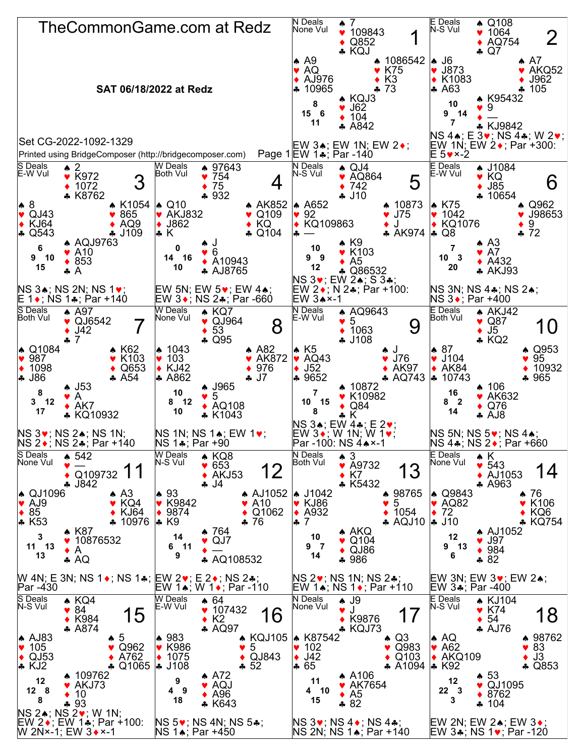